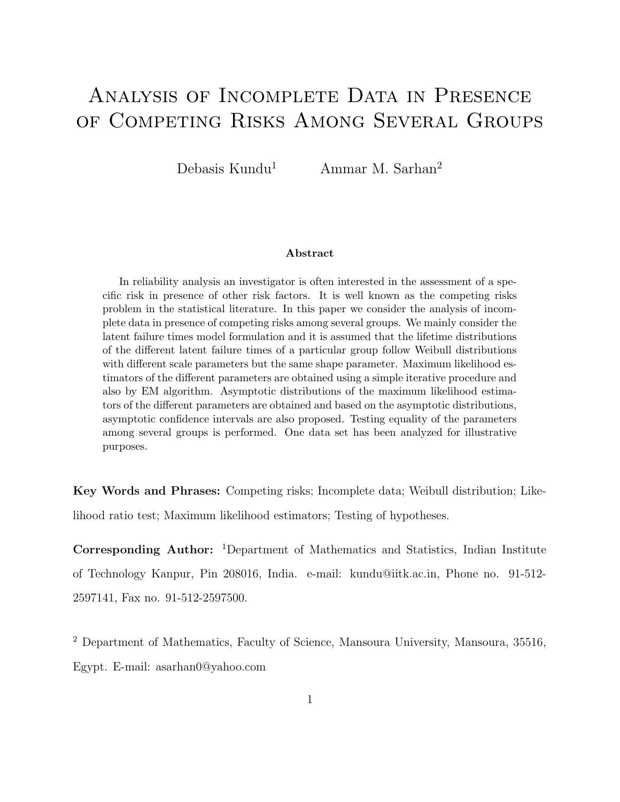# Analysis of Incomplete Data in Presence of Competing Risks Among Several Groups

Debasis Kundu<sup>1</sup> Ammar M. Sarhan<sup>2</sup>

#### Abstract

In reliability analysis an investigator is often interested in the assessment of a specific risk in presence of other risk factors. It is well known as the competing risks problem in the statistical literature. In this paper we consider the analysis of incomplete data in presence of competing risks among several groups. We mainly consider the latent failure times model formulation and it is assumed that the lifetime distributions of the different latent failure times of a particular group follow Weibull distributions with different scale parameters but the same shape parameter. Maximum likelihood estimators of the different parameters are obtained using a simple iterative procedure and also by EM algorithm. Asymptotic distributions of the maximum likelihood estimators of the different parameters are obtained and based on the asymptotic distributions, asymptotic confidence intervals are also proposed. Testing equality of the parameters among several groups is performed. One data set has been analyzed for illustrative purposes.

Key Words and Phrases: Competing risks; Incomplete data; Weibull distribution; Likelihood ratio test; Maximum likelihood estimators; Testing of hypotheses.

Corresponding Author: <sup>1</sup>Department of Mathematics and Statistics, Indian Institute of Technology Kanpur, Pin 208016, India. e-mail: kundu@iitk.ac.in, Phone no. 91-512- 2597141, Fax no. 91-512-2597500.

<sup>2</sup> Department of Mathematics, Faculty of Science, Mansoura University, Mansoura, 35516, Egypt. E-mail: asarhan0@yahoo.com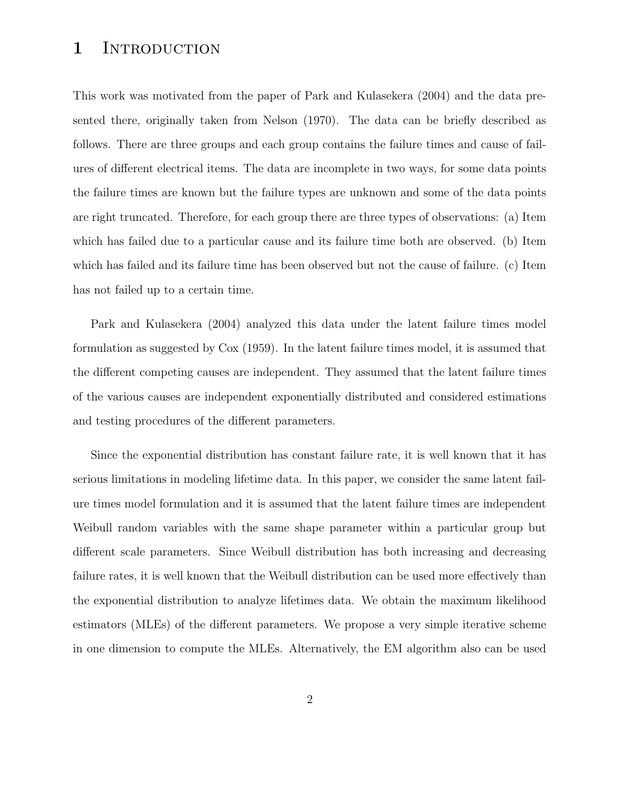#### 1 INTRODUCTION

This work was motivated from the paper of Park and Kulasekera (2004) and the data presented there, originally taken from Nelson (1970). The data can be briefly described as follows. There are three groups and each group contains the failure times and cause of failures of different electrical items. The data are incomplete in two ways, for some data points the failure times are known but the failure types are unknown and some of the data points are right truncated. Therefore, for each group there are three types of observations: (a) Item which has failed due to a particular cause and its failure time both are observed. (b) Item which has failed and its failure time has been observed but not the cause of failure. (c) Item has not failed up to a certain time.

Park and Kulasekera (2004) analyzed this data under the latent failure times model formulation as suggested by Cox (1959). In the latent failure times model, it is assumed that the different competing causes are independent. They assumed that the latent failure times of the various causes are independent exponentially distributed and considered estimations and testing procedures of the different parameters.

Since the exponential distribution has constant failure rate, it is well known that it has serious limitations in modeling lifetime data. In this paper, we consider the same latent failure times model formulation and it is assumed that the latent failure times are independent Weibull random variables with the same shape parameter within a particular group but different scale parameters. Since Weibull distribution has both increasing and decreasing failure rates, it is well known that the Weibull distribution can be used more effectively than the exponential distribution to analyze lifetimes data. We obtain the maximum likelihood estimators (MLEs) of the different parameters. We propose a very simple iterative scheme in one dimension to compute the MLEs. Alternatively, the EM algorithm also can be used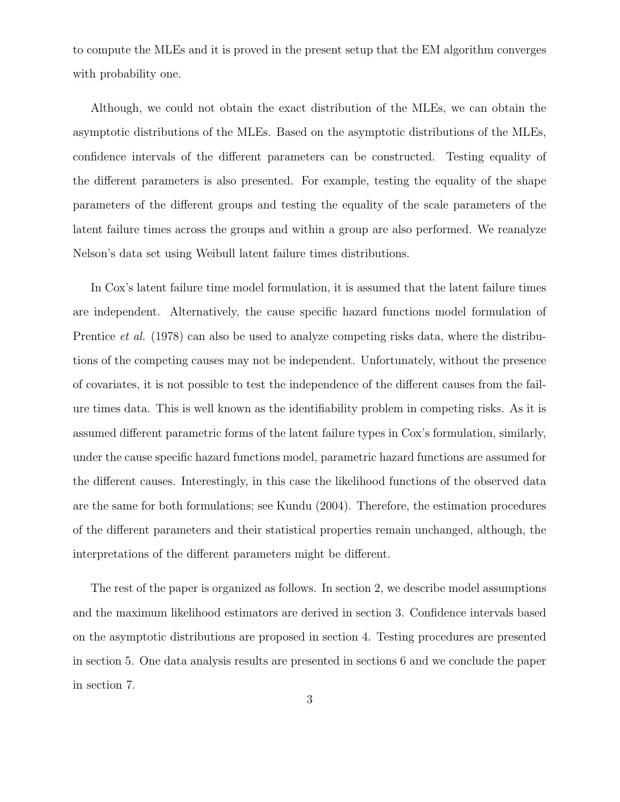to compute the MLEs and it is proved in the present setup that the EM algorithm converges with probability one.

Although, we could not obtain the exact distribution of the MLEs, we can obtain the asymptotic distributions of the MLEs. Based on the asymptotic distributions of the MLEs, confidence intervals of the different parameters can be constructed. Testing equality of the different parameters is also presented. For example, testing the equality of the shape parameters of the different groups and testing the equality of the scale parameters of the latent failure times across the groups and within a group are also performed. We reanalyze Nelson's data set using Weibull latent failure times distributions.

In Cox's latent failure time model formulation, it is assumed that the latent failure times are independent. Alternatively, the cause specific hazard functions model formulation of Prentice *et al.* (1978) can also be used to analyze competing risks data, where the distributions of the competing causes may not be independent. Unfortunately, without the presence of covariates, it is not possible to test the independence of the different causes from the failure times data. This is well known as the identifiability problem in competing risks. As it is assumed different parametric forms of the latent failure types in Cox's formulation, similarly, under the cause specific hazard functions model, parametric hazard functions are assumed for the different causes. Interestingly, in this case the likelihood functions of the observed data are the same for both formulations; see Kundu (2004). Therefore, the estimation procedures of the different parameters and their statistical properties remain unchanged, although, the interpretations of the different parameters might be different.

The rest of the paper is organized as follows. In section 2, we describe model assumptions and the maximum likelihood estimators are derived in section 3. Confidence intervals based on the asymptotic distributions are proposed in section 4. Testing procedures are presented in section 5. One data analysis results are presented in sections 6 and we conclude the paper in section 7.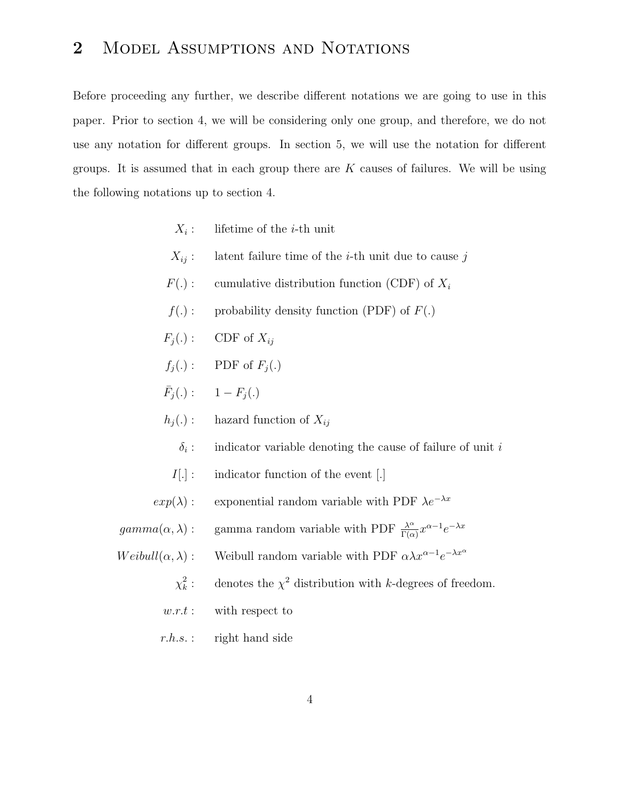# 2 MODEL ASSUMPTIONS AND NOTATIONS

Before proceeding any further, we describe different notations we are going to use in this paper. Prior to section 4, we will be considering only one group, and therefore, we do not use any notation for different groups. In section 5, we will use the notation for different groups. It is assumed that in each group there are  $K$  causes of failures. We will be using the following notations up to section 4.

- $X_i$ : lifetime of the  $i$ -th unit
- $X_{ij}$ : latent failure time of the *i*-th unit due to cause j
- $F(.)$ : cumulative distribution function (CDF) of  $X_i$
- $f(.)$ : probability density function (PDF) of  $F(.)$
- $F_j(.)$ : CDF of  $X_{ij}$
- $f_j(.)$ : PDF of  $F_j(.)$
- $\bar{F}_j(.)$ : 1  $F_j(.)$
- $h_j(.)$ : hazard function of  $X_{ij}$ 
	- $\delta_i$  : indicator variable denoting the cause of failure of unit  $i$
	- $I[\cdot]$ : indicator function of the event  $\lbrack .\rbrack$
- $exp(\lambda)$ : exponential random variable with PDF  $\lambda e^{-\lambda x}$
- $gamma(\alpha, \lambda)$ : gamma random variable with PDF  $\frac{\lambda^{\alpha}}{\Gamma(\alpha)}$  $\frac{\lambda^{\alpha}}{\Gamma(\alpha)} x^{\alpha-1} e^{-\lambda x}$
- $Weibull(\alpha, \lambda)$ : Weibull random variable with PDF  $\alpha \lambda x^{\alpha-1} e^{-\lambda x^{\alpha}}$ 
	- $\chi^2_k$ : denotes the  $\chi^2$  distribution with k-degrees of freedom.
	- $w.r.t:$  with respect to
	- $r.h.s.$ : right hand side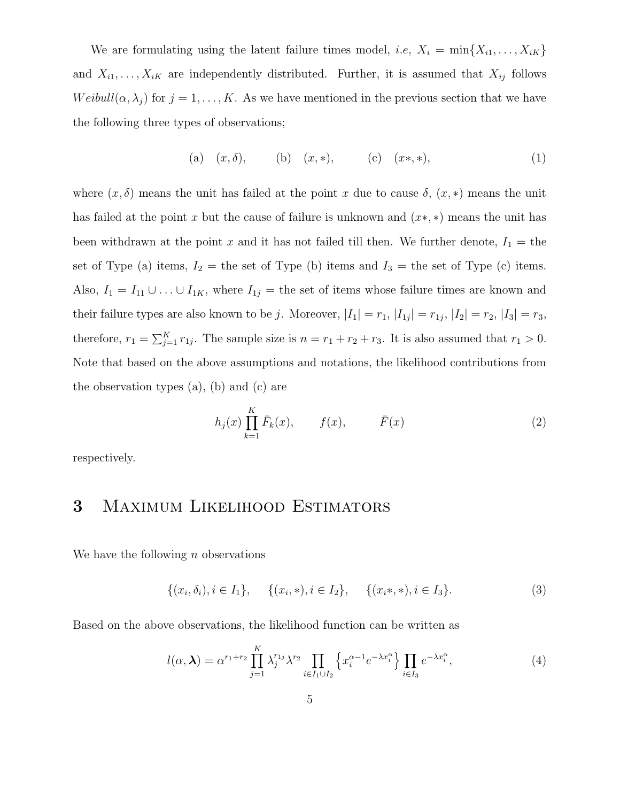We are formulating using the latent failure times model, *i.e,*  $X_i = \min\{X_{i1}, \ldots, X_{iK}\}\$ and  $X_{i1}, \ldots, X_{iK}$  are independently distributed. Further, it is assumed that  $X_{ij}$  follows Weibull $(\alpha, \lambda_j)$  for  $j = 1, ..., K$ . As we have mentioned in the previous section that we have the following three types of observations;

(a) 
$$
(x, \delta)
$$
, (b)  $(x, *)$ , (c)  $(x*, *)$ , (1)

where  $(x, \delta)$  means the unit has failed at the point x due to cause  $\delta$ ,  $(x, *)$  means the unit has failed at the point x but the cause of failure is unknown and  $(x*, *)$  means the unit has been withdrawn at the point x and it has not failed till then. We further denote,  $I_1 =$  the set of Type (a) items,  $I_2$  = the set of Type (b) items and  $I_3$  = the set of Type (c) items. Also,  $I_1 = I_{11} \cup \ldots \cup I_{1K}$ , where  $I_{1j}$  = the set of items whose failure times are known and their failure types are also known to be j. Moreover,  $|I_1| = r_1$ ,  $|I_{1j}| = r_{1j}$ ,  $|I_2| = r_2$ ,  $|I_3| = r_3$ , therefore,  $r_1 = \sum_{j=1}^{K} r_{1j}$ . The sample size is  $n = r_1 + r_2 + r_3$ . It is also assumed that  $r_1 > 0$ . Note that based on the above assumptions and notations, the likelihood contributions from the observation types (a), (b) and (c) are

$$
h_j(x) \prod_{k=1}^K \bar{F}_k(x), \qquad f(x), \qquad \bar{F}(x) \tag{2}
$$

respectively.

### 3 Maximum Likelihood Estimators

We have the following  $n$  observations

$$
\{(x_i, \delta_i), i \in I_1\}, \quad \{(x_i, *), i \in I_2\}, \quad \{(x_i, *), i \in I_3\}.
$$
 (3)

Based on the above observations, the likelihood function can be written as

$$
l(\alpha, \lambda) = \alpha^{r_1 + r_2} \prod_{j=1}^K \lambda_j^{r_{1j}} \lambda^{r_2} \prod_{i \in I_1 \cup I_2} \left\{ x_i^{\alpha - 1} e^{-\lambda x_i^{\alpha}} \right\} \prod_{i \in I_3} e^{-\lambda x_i^{\alpha}}, \tag{4}
$$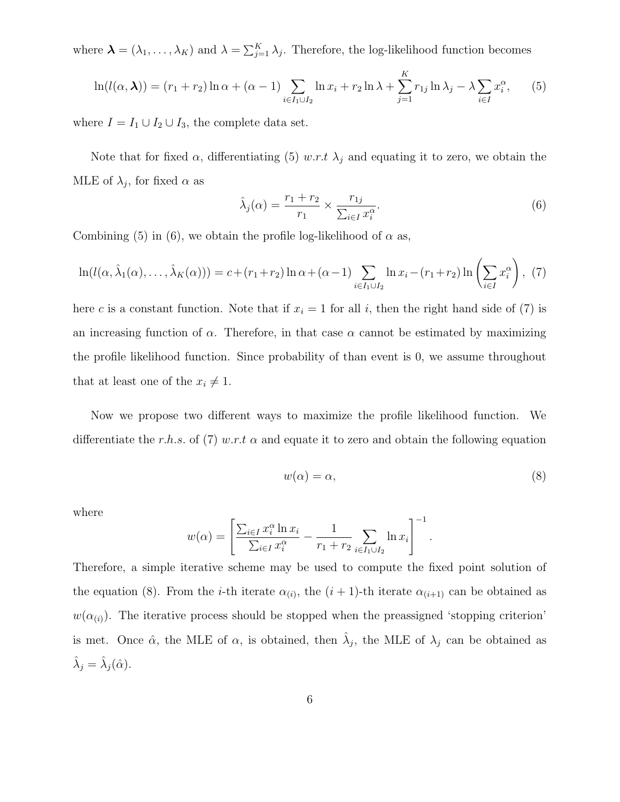where  $\boldsymbol{\lambda} = (\lambda_1, \dots, \lambda_K)$  and  $\lambda = \sum_{j=1}^K \lambda_j$ . Therefore, the log-likelihood function becomes

$$
\ln(l(\alpha, \lambda)) = (r_1 + r_2) \ln \alpha + (\alpha - 1) \sum_{i \in I_1 \cup I_2} \ln x_i + r_2 \ln \lambda + \sum_{j=1}^K r_{1j} \ln \lambda_j - \lambda \sum_{i \in I} x_i^{\alpha}, \qquad (5)
$$

where  $I = I_1 \cup I_2 \cup I_3$ , the complete data set.

Note that for fixed  $\alpha$ , differentiating (5) w.r.t  $\lambda_j$  and equating it to zero, we obtain the MLE of  $\lambda_j$ , for fixed  $\alpha$  as

$$
\hat{\lambda}_j(\alpha) = \frac{r_1 + r_2}{r_1} \times \frac{r_{1j}}{\sum_{i \in I} x_i^{\alpha}}.
$$
\n(6)

Combining (5) in (6), we obtain the profile log-likelihood of  $\alpha$  as,

$$
\ln(l(\alpha, \hat{\lambda}_1(\alpha), \dots, \hat{\lambda}_K(\alpha))) = c + (r_1 + r_2) \ln \alpha + (\alpha - 1) \sum_{i \in I_1 \cup I_2} \ln x_i - (r_1 + r_2) \ln \left( \sum_{i \in I} x_i^{\alpha} \right), (7)
$$

here c is a constant function. Note that if  $x_i = 1$  for all i, then the right hand side of (7) is an increasing function of  $\alpha$ . Therefore, in that case  $\alpha$  cannot be estimated by maximizing the profile likelihood function. Since probability of than event is 0, we assume throughout that at least one of the  $x_i \neq 1$ .

Now we propose two different ways to maximize the profile likelihood function. We differentiate the r.h.s. of (7) w.r.t  $\alpha$  and equate it to zero and obtain the following equation

$$
w(\alpha) = \alpha,\tag{8}
$$

where

$$
w(\alpha) = \left[ \frac{\sum_{i \in I} x_i^{\alpha} \ln x_i}{\sum_{i \in I} x_i^{\alpha}} - \frac{1}{r_1 + r_2} \sum_{i \in I_1 \cup I_2} \ln x_i \right]^{-1}.
$$

Therefore, a simple iterative scheme may be used to compute the fixed point solution of the equation (8). From the *i*-th iterate  $\alpha_{(i)}$ , the  $(i + 1)$ -th iterate  $\alpha_{(i+1)}$  can be obtained as  $w(\alpha_{(i)})$ . The iterative process should be stopped when the preassigned 'stopping criterion' is met. Once  $\hat{\alpha}$ , the MLE of  $\alpha$ , is obtained, then  $\hat{\lambda}_j$ , the MLE of  $\lambda_j$  can be obtained as  $\hat{\lambda}_j = \hat{\lambda}_j(\hat{\alpha}).$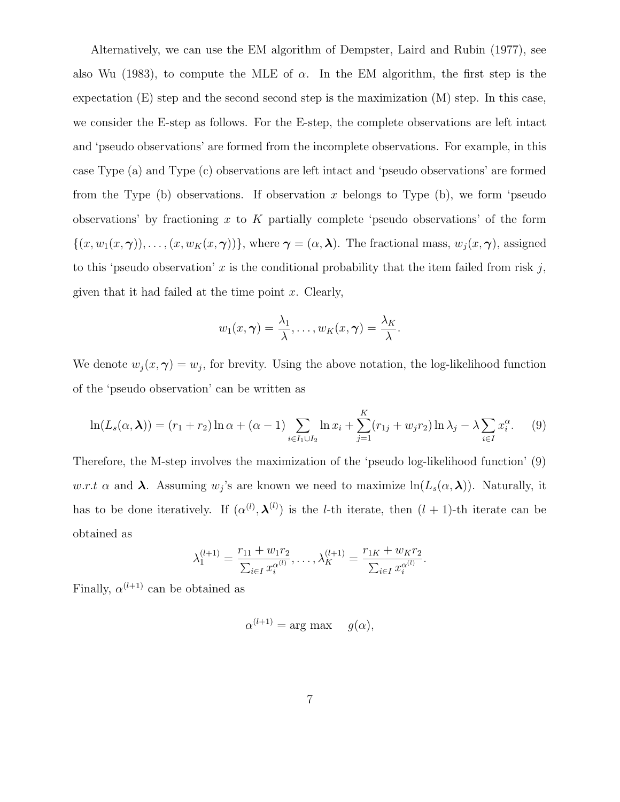Alternatively, we can use the EM algorithm of Dempster, Laird and Rubin (1977), see also Wu (1983), to compute the MLE of  $\alpha$ . In the EM algorithm, the first step is the expectation (E) step and the second second step is the maximization (M) step. In this case, we consider the E-step as follows. For the E-step, the complete observations are left intact and 'pseudo observations' are formed from the incomplete observations. For example, in this case Type (a) and Type (c) observations are left intact and 'pseudo observations' are formed from the Type (b) observations. If observation x belongs to Type (b), we form 'pseudo observations' by fractioning x to K partially complete 'pseudo observations' of the form  $\{(x, w_1(x, \gamma)), \ldots, (x, w_K(x, \gamma))\},\$  where  $\gamma = (\alpha, \lambda)$ . The fractional mass,  $w_j(x, \gamma)$ , assigned to this 'pseudo observation' x is the conditional probability that the item failed from risk  $j$ , given that it had failed at the time point  $x$ . Clearly,

$$
w_1(x,\boldsymbol{\gamma})=\frac{\lambda_1}{\lambda},\ldots,w_K(x,\boldsymbol{\gamma})=\frac{\lambda_K}{\lambda}.
$$

We denote  $w_j(x, \gamma) = w_j$ , for brevity. Using the above notation, the log-likelihood function of the 'pseudo observation' can be written as

$$
\ln(L_s(\alpha, \lambda)) = (r_1 + r_2) \ln \alpha + (\alpha - 1) \sum_{i \in I_1 \cup I_2} \ln x_i + \sum_{j=1}^K (r_{1j} + w_j r_2) \ln \lambda_j - \lambda \sum_{i \in I} x_i^{\alpha}.
$$
 (9)

Therefore, the M-step involves the maximization of the 'pseudo log-likelihood function' (9) w.r.t  $\alpha$  and  $\lambda$ . Assuming  $w_j$ 's are known we need to maximize  $\ln(L_s(\alpha, \lambda))$ . Naturally, it has to be done iteratively. If  $(\alpha^{(l)}, \lambda^{(l)})$  is the *l*-th iterate, then  $(l + 1)$ -th iterate can be obtained as

$$
\lambda_1^{(l+1)} = \frac{r_{11} + w_1 r_2}{\sum_{i \in I} x_i^{\alpha^{(l)}}}, \dots, \lambda_K^{(l+1)} = \frac{r_{1K} + w_K r_2}{\sum_{i \in I} x_i^{\alpha^{(l)}}}.
$$

Finally,  $\alpha^{(l+1)}$  can be obtained as

$$
\alpha^{(l+1)} = \arg \max \quad g(\alpha),
$$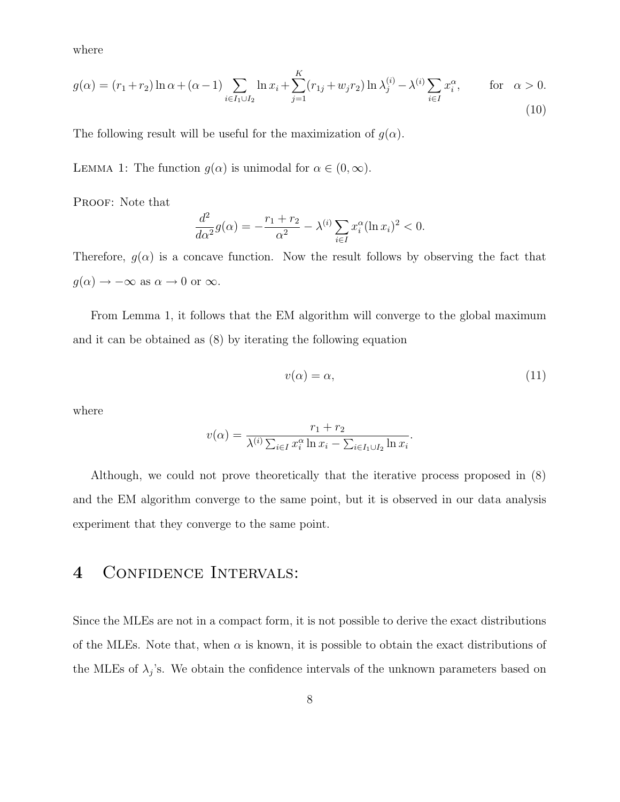where

$$
g(\alpha) = (r_1 + r_2) \ln \alpha + (\alpha - 1) \sum_{i \in I_1 \cup I_2} \ln x_i + \sum_{j=1}^K (r_{1j} + w_j r_2) \ln \lambda_j^{(i)} - \lambda^{(i)} \sum_{i \in I} x_i^{\alpha}, \quad \text{for} \quad \alpha > 0.
$$
\n(10)

The following result will be useful for the maximization of  $g(\alpha)$ .

LEMMA 1: The function  $g(\alpha)$  is unimodal for  $\alpha \in (0,\infty)$ .

PROOF: Note that

$$
\frac{d^2}{d\alpha^2}g(\alpha) = -\frac{r_1 + r_2}{\alpha^2} - \lambda^{(i)} \sum_{i \in I} x_i^{\alpha} (\ln x_i)^2 < 0.
$$

Therefore,  $g(\alpha)$  is a concave function. Now the result follows by observing the fact that  $g(\alpha) \to -\infty$  as  $\alpha \to 0$  or  $\infty$ .

From Lemma 1, it follows that the EM algorithm will converge to the global maximum and it can be obtained as (8) by iterating the following equation

$$
v(\alpha) = \alpha,\tag{11}
$$

where

$$
v(\alpha) = \frac{r_1 + r_2}{\lambda^{(i)} \sum_{i \in I} x_i^{\alpha} \ln x_i - \sum_{i \in I_1 \cup I_2} \ln x_i}.
$$

Although, we could not prove theoretically that the iterative process proposed in (8) and the EM algorithm converge to the same point, but it is observed in our data analysis experiment that they converge to the same point.

# 4 CONFIDENCE INTERVALS:

Since the MLEs are not in a compact form, it is not possible to derive the exact distributions of the MLEs. Note that, when  $\alpha$  is known, it is possible to obtain the exact distributions of the MLEs of  $\lambda_j$ 's. We obtain the confidence intervals of the unknown parameters based on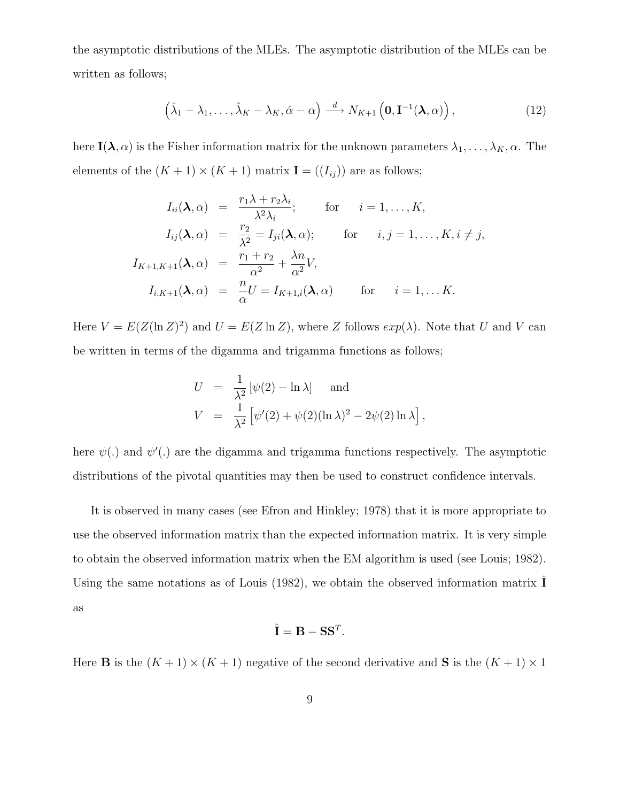the asymptotic distributions of the MLEs. The asymptotic distribution of the MLEs can be written as follows;

$$
\left(\hat{\lambda}_1 - \lambda_1, \dots, \hat{\lambda}_K - \lambda_K, \hat{\alpha} - \alpha\right) \stackrel{d}{\longrightarrow} N_{K+1}\left(\mathbf{0}, \mathbf{I}^{-1}(\boldsymbol{\lambda}, \alpha)\right),\tag{12}
$$

here  $I(\lambda, \alpha)$  is the Fisher information matrix for the unknown parameters  $\lambda_1, \ldots, \lambda_K, \alpha$ . The elements of the  $(K + 1) \times (K + 1)$  matrix  $\mathbf{I} = ((I_{ij}))$  are as follows;

$$
I_{ii}(\lambda, \alpha) = \frac{r_1 \lambda + r_2 \lambda_i}{\lambda^2 \lambda_i}; \quad \text{for} \quad i = 1, ..., K,
$$
  
\n
$$
I_{ij}(\lambda, \alpha) = \frac{r_2}{\lambda^2} = I_{ji}(\lambda, \alpha); \quad \text{for} \quad i, j = 1, ..., K, i \neq j,
$$
  
\n
$$
I_{K+1, K+1}(\lambda, \alpha) = \frac{r_1 + r_2}{\alpha^2} + \frac{\lambda n}{\alpha^2} V,
$$
  
\n
$$
I_{i, K+1}(\lambda, \alpha) = \frac{n}{\alpha} U = I_{K+1, i}(\lambda, \alpha) \quad \text{for} \quad i = 1, ..., K.
$$

Here  $V = E(Z(\ln Z)^2)$  and  $U = E(Z \ln Z)$ , where Z follows  $exp(\lambda)$ . Note that U and V can be written in terms of the digamma and trigamma functions as follows;

$$
U = \frac{1}{\lambda^2} [\psi(2) - \ln \lambda] \quad \text{and}
$$
  

$$
V = \frac{1}{\lambda^2} [\psi'(2) + \psi(2)(\ln \lambda)^2 - 2\psi(2)\ln \lambda]
$$

,

here  $\psi(.)$  and  $\psi'(.)$  are the digamma and trigamma functions respectively. The asymptotic distributions of the pivotal quantities may then be used to construct confidence intervals.

It is observed in many cases (see Efron and Hinkley; 1978) that it is more appropriate to use the observed information matrix than the expected information matrix. It is very simple to obtain the observed information matrix when the EM algorithm is used (see Louis; 1982). Using the same notations as of Louis  $(1982)$ , we obtain the observed information matrix **I** as

$$
\hat{\mathbf{I}} = \mathbf{B} - \mathbf{S} \mathbf{S}^T.
$$

Here **B** is the  $(K + 1) \times (K + 1)$  negative of the second derivative and **S** is the  $(K + 1) \times 1$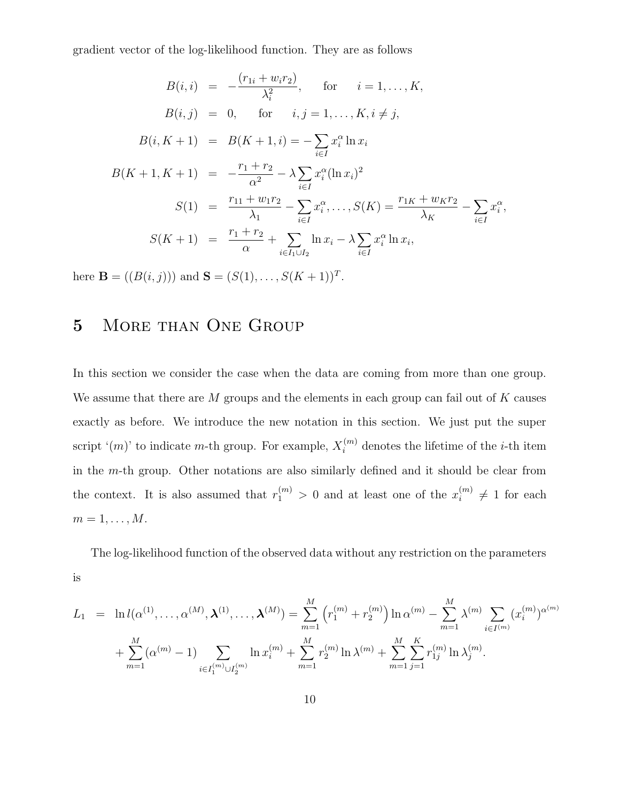gradient vector of the log-likelihood function. They are as follows

$$
B(i,i) = -\frac{(r_{1i} + w_i r_2)}{\lambda_i^2}, \quad \text{for} \quad i = 1, ..., K,
$$
  
\n
$$
B(i,j) = 0, \quad \text{for} \quad i, j = 1, ..., K, i \neq j,
$$
  
\n
$$
B(i, K + 1) = B(K + 1, i) = -\sum_{i \in I} x_i^{\alpha} \ln x_i
$$
  
\n
$$
B(K + 1, K + 1) = -\frac{r_1 + r_2}{\alpha^2} - \lambda \sum_{i \in I} x_i^{\alpha} (\ln x_i)^2
$$
  
\n
$$
S(1) = \frac{r_{11} + w_1 r_2}{\lambda_1} - \sum_{i \in I} x_i^{\alpha}, ..., S(K) = \frac{r_{1K} + w_K r_2}{\lambda_K} - \sum_{i \in I} x_i^{\alpha},
$$
  
\n
$$
S(K + 1) = \frac{r_1 + r_2}{\alpha} + \sum_{i \in I_1 \cup I_2} \ln x_i - \lambda \sum_{i \in I} x_i^{\alpha} \ln x_i,
$$

here **B** =  $((B(i, j)))$  and **S** =  $(S(1), \ldots, S(K + 1))^T$ .

# 5 More than One Group

In this section we consider the case when the data are coming from more than one group. We assume that there are  $M$  groups and the elements in each group can fail out of  $K$  causes exactly as before. We introduce the new notation in this section. We just put the super script ' $(m)$ ' to indicate m-th group. For example,  $X_i^{(m)}$  denotes the lifetime of the *i*-th item in the m-th group. Other notations are also similarly defined and it should be clear from the context. It is also assumed that  $r_1^{(m)} > 0$  and at least one of the  $x_i^{(m)} \neq 1$  for each  $m=1,\ldots,M$ .

The log-likelihood function of the observed data without any restriction on the parameters is

$$
L_1 = \ln l(\alpha^{(1)}, \dots, \alpha^{(M)}, \lambda^{(1)}, \dots, \lambda^{(M)}) = \sum_{m=1}^{M} (r_1^{(m)} + r_2^{(m)}) \ln \alpha^{(m)} - \sum_{m=1}^{M} \lambda^{(m)} \sum_{i \in I^{(m)}} (x_i^{(m)})^{\alpha^{(m)}}
$$

$$
+ \sum_{m=1}^{M} (\alpha^{(m)} - 1) \sum_{i \in I_1^{(m)} \cup I_2^{(m)}} \ln x_i^{(m)} + \sum_{m=1}^{M} r_2^{(m)} \ln \lambda^{(m)} + \sum_{m=1}^{M} \sum_{j=1}^{K} r_{1j}^{(m)} \ln \lambda_j^{(m)}.
$$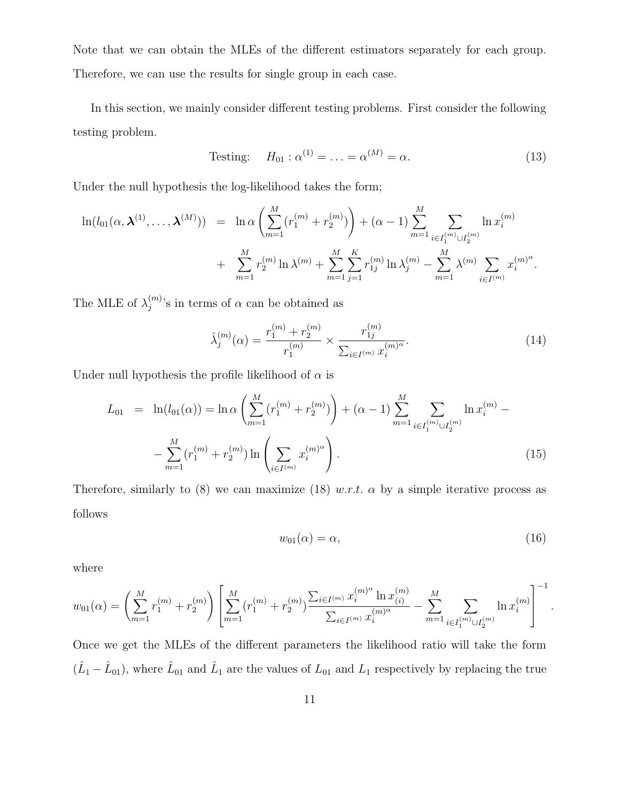Note that we can obtain the MLEs of the different estimators separately for each group. Therefore, we can use the results for single group in each case.

In this section, we mainly consider different testing problems. First consider the following testing problem.

Testing: 
$$
H_{01} : \alpha^{(1)} = \ldots = \alpha^{(M)} = \alpha.
$$
 (13)

Under the null hypothesis the log-likelihood takes the form;

$$
\ln(l_{01}(\alpha, \lambda^{(1)}, \dots, \lambda^{(M)})) = \ln \alpha \left( \sum_{m=1}^{M} (r_1^{(m)} + r_2^{(m)}) \right) + (\alpha - 1) \sum_{m=1}^{M} \sum_{i \in I_1^{(m)} \cup I_2^{(m)}} \ln x_i^{(m)} + \sum_{m=1}^{M} r_2^{(m)} \ln \lambda^{(m)} + \sum_{m=1}^{M} \sum_{j=1}^{K} r_{1j}^{(m)} \ln \lambda_j^{(m)} - \sum_{m=1}^{M} \lambda^{(m)} \sum_{i \in I^{(m)}} x_i^{(m)^{\alpha}}.
$$

The MLE of  $\lambda_i^{(m)}$  $j^{(m)}$ 's in terms of  $\alpha$  can be obtained as

$$
\hat{\lambda}_j^{(m)}(\alpha) = \frac{r_1^{(m)} + r_2^{(m)}}{r_1^{(m)}} \times \frac{r_{1j}^{(m)}}{\sum_{i \in I^{(m)}} x_i^{(m)\alpha}}.
$$
\n(14)

Under null hypothesis the profile likelihood of  $\alpha$  is

$$
L_{01} = \ln(l_{01}(\alpha)) = \ln \alpha \left( \sum_{m=1}^{M} (r_1^{(m)} + r_2^{(m)}) \right) + (\alpha - 1) \sum_{m=1}^{M} \sum_{i \in I_1^{(m)} \cup I_2^{(m)}} \ln x_i^{(m)} - \sum_{m=1}^{M} (r_1^{(m)} + r_2^{(m)}) \ln \left( \sum_{i \in I^{(m)}} x_i^{(m)^{\alpha}} \right).
$$
\n(15)

Therefore, similarly to (8) we can maximize (18) w.r.t.  $\alpha$  by a simple iterative process as follows

$$
w_{01}(\alpha) = \alpha,\tag{16}
$$

.

where

$$
w_{01}(\alpha) = \left(\sum_{m=1}^{M} r_1^{(m)} + r_2^{(m)}\right) \left[\sum_{m=1}^{M} (r_1^{(m)} + r_2^{(m)}) \frac{\sum_{i \in I^{(m)}} x_i^{(m)^\alpha} \ln x_{(i)}^{(m)}}{\sum_{i \in I^{(m)}} x_i^{(m)^\alpha}} - \sum_{m=1}^{M} \sum_{i \in I_1^{(m)} \cup I_2^{(m)}} \ln x_i^{(m)}\right]^{-1}
$$

Once we get the MLEs of the different parameters the likelihood ratio will take the form  $(\hat{L}_1 - \hat{L}_{01})$ , where  $\hat{L}_{01}$  and  $\hat{L}_1$  are the values of  $L_{01}$  and  $L_1$  respectively by replacing the true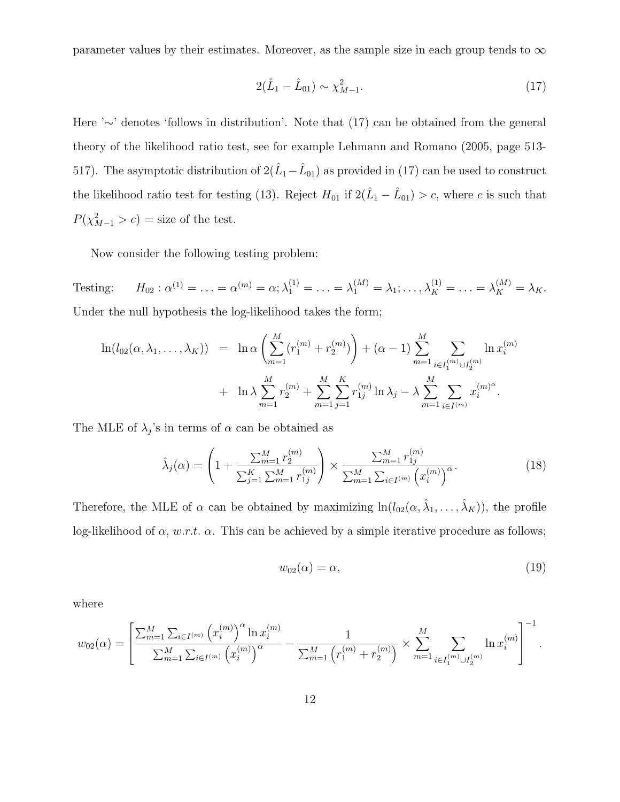parameter values by their estimates. Moreover, as the sample size in each group tends to  $\infty$ 

$$
2(\hat{L}_1 - \hat{L}_{01}) \sim \chi^2_{M-1}.
$$
\n(17)

Here '∼' denotes 'follows in distribution'. Note that (17) can be obtained from the general theory of the likelihood ratio test, see for example Lehmann and Romano (2005, page 513- 517). The asymptotic distribution of  $2(\hat{L}_1 - \hat{L}_{01})$  as provided in (17) can be used to construct the likelihood ratio test for testing (13). Reject  $H_{01}$  if  $2(\hat{L}_1 - \hat{L}_{01}) > c$ , where c is such that  $P(\chi^2_{M-1} > c) = \text{size of the test.}$ 

Now consider the following testing problem:

Testing:  $H_{02} : \alpha^{(1)} = \ldots = \alpha^{(m)} = \alpha; \lambda_1^{(1)} = \ldots = \lambda_1^{(M)} = \lambda_1; \ldots, \lambda_K^{(1)} = \ldots = \lambda_K^{(M)} = \lambda_K.$ Under the null hypothesis the log-likelihood takes the form;

$$
\ln(l_{02}(\alpha, \lambda_1, ..., \lambda_K)) = \ln \alpha \left( \sum_{m=1}^M (r_1^{(m)} + r_2^{(m)}) \right) + (\alpha - 1) \sum_{m=1}^M \sum_{i \in I_1^{(m)} \cup I_2^{(m)}} \ln x_i^{(m)}
$$
  
+ 
$$
\ln \lambda \sum_{m=1}^M r_2^{(m)} + \sum_{m=1}^M \sum_{j=1}^K r_{1j}^{(m)} \ln \lambda_j - \lambda \sum_{m=1}^M \sum_{i \in I^{(m)}} x_i^{(m)^{\alpha}}.
$$

The MLE of  $\lambda_j$ 's in terms of  $\alpha$  can be obtained as

$$
\hat{\lambda}_j(\alpha) = \left(1 + \frac{\sum_{m=1}^M r_2^{(m)}}{\sum_{j=1}^K \sum_{m=1}^M r_{1j}^{(m)}}\right) \times \frac{\sum_{m=1}^M r_{1j}^{(m)}}{\sum_{m=1}^M \sum_{i \in I^{(m)}} (x_i^{(m)})^{\alpha}}.
$$
\n(18)

Therefore, the MLE of  $\alpha$  can be obtained by maximizing  $\ln(l_{02}(\alpha, \hat{\lambda}_1, \dots, \hat{\lambda}_K))$ , the profile log-likelihood of  $\alpha$ , w.r.t.  $\alpha$ . This can be achieved by a simple iterative procedure as follows;

$$
w_{02}(\alpha) = \alpha,\tag{19}
$$

where

$$
w_{02}(\alpha) = \left[ \frac{\sum_{m=1}^{M} \sum_{i \in I^{(m)}} (x_i^{(m)})^{\alpha} \ln x_i^{(m)}}{\sum_{m=1}^{M} \sum_{i \in I^{(m)}} (x_i^{(m)})^{\alpha}} - \frac{1}{\sum_{m=1}^{M} (r_1^{(m)} + r_2^{(m)})} \times \sum_{m=1}^{M} \sum_{i \in I_1^{(m)} \cup I_2^{(m)}} \ln x_i^{(m)} \right]^{-1}.
$$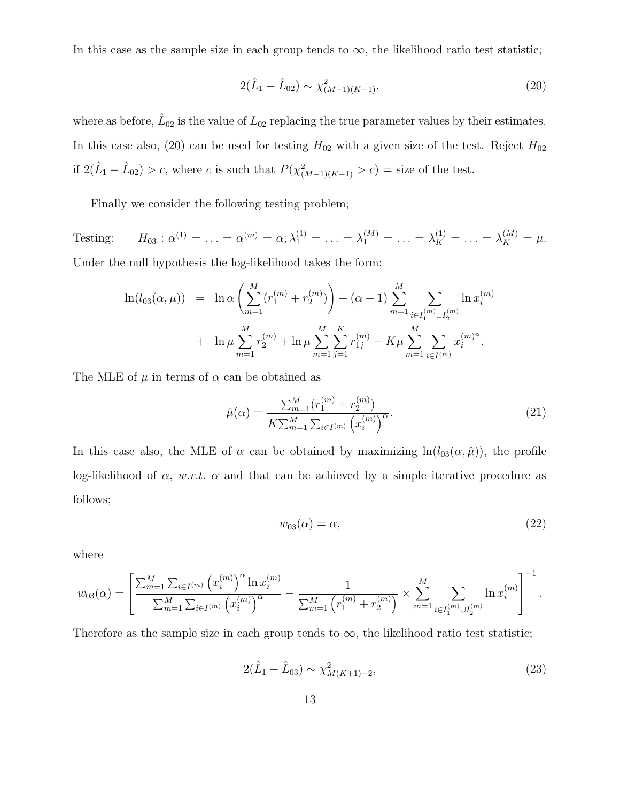In this case as the sample size in each group tends to  $\infty$ , the likelihood ratio test statistic;

$$
2(\hat{L}_1 - \hat{L}_{02}) \sim \chi^2_{(M-1)(K-1)},\tag{20}
$$

where as before,  $\hat{L}_{02}$  is the value of  $L_{02}$  replacing the true parameter values by their estimates. In this case also, (20) can be used for testing  $H_{02}$  with a given size of the test. Reject  $H_{02}$ if  $2(\hat{L}_1 - \hat{L}_{02}) > c$ , where c is such that  $P(\chi^2_{(M-1)(K-1)} > c) =$  size of the test.

Finally we consider the following testing problem;

Testing:  $H_{03}: \alpha^{(1)} = \ldots = \alpha^{(m)} = \alpha; \lambda_1^{(1)} = \ldots = \lambda_1^{(M)} = \ldots = \lambda_K^{(1)} = \ldots = \lambda_K^{(M)} = \mu.$ Under the null hypothesis the log-likelihood takes the form;

$$
\ln(l_{03}(\alpha,\mu)) = \ln \alpha \left( \sum_{m=1}^{M} (r_1^{(m)} + r_2^{(m)}) \right) + (\alpha - 1) \sum_{m=1}^{M} \sum_{i \in I_1^{(m)} \cup I_2^{(m)}} \ln x_i^{(m)}
$$
  
+ 
$$
\ln \mu \sum_{m=1}^{M} r_2^{(m)} + \ln \mu \sum_{m=1}^{M} \sum_{j=1}^{K} r_{1j}^{(m)} - K\mu \sum_{m=1}^{M} \sum_{i \in I^{(m)}} x_i^{(m)^{\alpha}}.
$$

The MLE of  $\mu$  in terms of  $\alpha$  can be obtained as

$$
\hat{\mu}(\alpha) = \frac{\sum_{m=1}^{M} (r_1^{(m)} + r_2^{(m)})}{K \sum_{m=1}^{M} \sum_{i \in I^{(m)}} (x_i^{(m)})^{\alpha}}.
$$
\n(21)

In this case also, the MLE of  $\alpha$  can be obtained by maximizing  $ln(l_{03}(\alpha, \hat{\mu}))$ , the profile log-likelihood of  $\alpha$ , w.r.t.  $\alpha$  and that can be achieved by a simple iterative procedure as follows;

$$
w_{03}(\alpha) = \alpha,\tag{22}
$$

where

$$
w_{03}(\alpha) = \left[ \frac{\sum_{m=1}^{M} \sum_{i \in I^{(m)}} (x_i^{(m)})^{\alpha} \ln x_i^{(m)}}{\sum_{m=1}^{M} \sum_{i \in I^{(m)}} (x_i^{(m)})^{\alpha}} - \frac{1}{\sum_{m=1}^{M} (r_1^{(m)} + r_2^{(m)})} \times \sum_{m=1}^{M} \sum_{i \in I_1^{(m)} \cup I_2^{(m)}} \ln x_i^{(m)} \right]^{-1}.
$$

Therefore as the sample size in each group tends to  $\infty$ , the likelihood ratio test statistic;

$$
2(\hat{L}_1 - \hat{L}_{03}) \sim \chi^2_{M(K+1)-2},\tag{23}
$$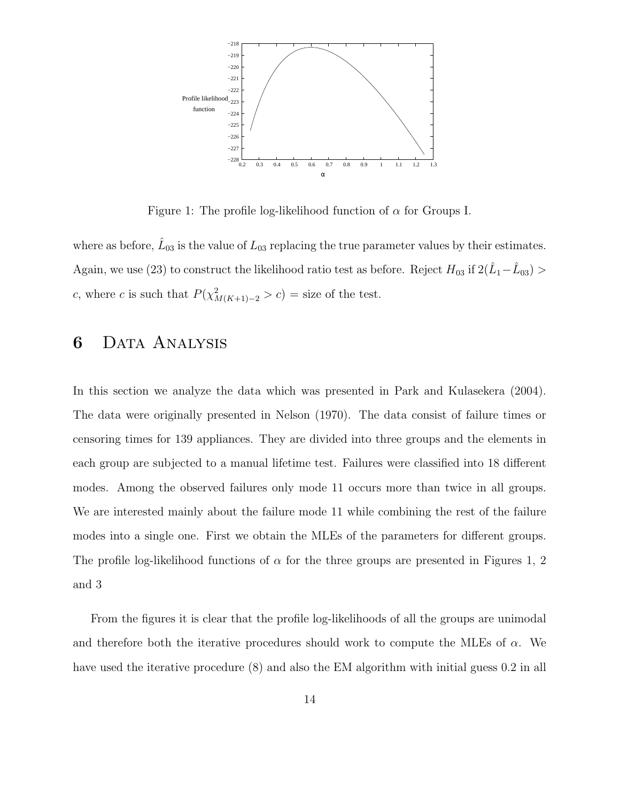

Figure 1: The profile log-likelihood function of  $\alpha$  for Groups I.

where as before,  $\hat{L}_{03}$  is the value of  $L_{03}$  replacing the true parameter values by their estimates. Again, we use (23) to construct the likelihood ratio test as before. Reject  $H_{03}$  if  $2(\hat{L}_1-\hat{L}_{03})>$ c, where c is such that  $P(\chi^2_{M(K+1)-2} > c) =$  size of the test.

# 6 Data Analysis

In this section we analyze the data which was presented in Park and Kulasekera (2004). The data were originally presented in Nelson (1970). The data consist of failure times or censoring times for 139 appliances. They are divided into three groups and the elements in each group are subjected to a manual lifetime test. Failures were classified into 18 different modes. Among the observed failures only mode 11 occurs more than twice in all groups. We are interested mainly about the failure mode 11 while combining the rest of the failure modes into a single one. First we obtain the MLEs of the parameters for different groups. The profile log-likelihood functions of  $\alpha$  for the three groups are presented in Figures 1, 2 and 3

From the figures it is clear that the profile log-likelihoods of all the groups are unimodal and therefore both the iterative procedures should work to compute the MLEs of  $\alpha$ . We have used the iterative procedure  $(8)$  and also the EM algorithm with initial guess 0.2 in all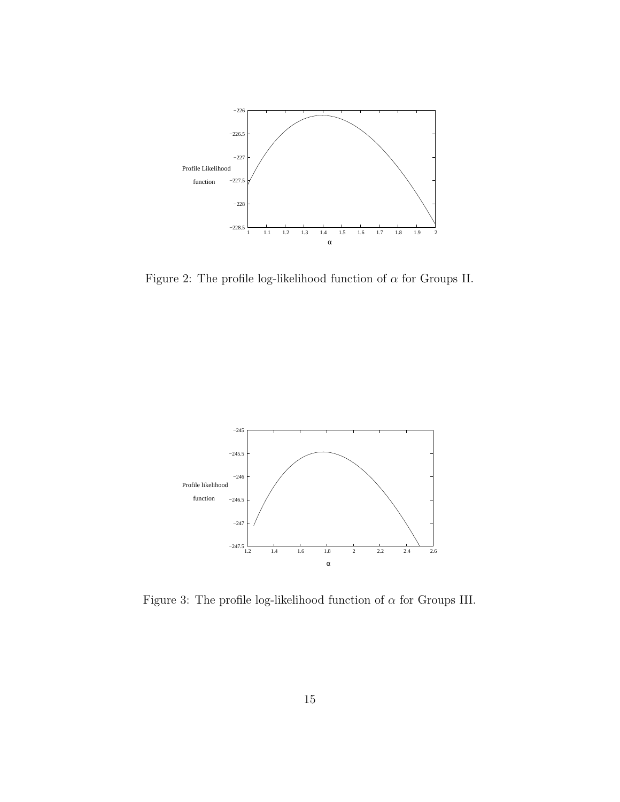

Figure 2: The profile log-likelihood function of  $\alpha$  for Groups II.



Figure 3: The profile log-likelihood function of  $\alpha$  for Groups III.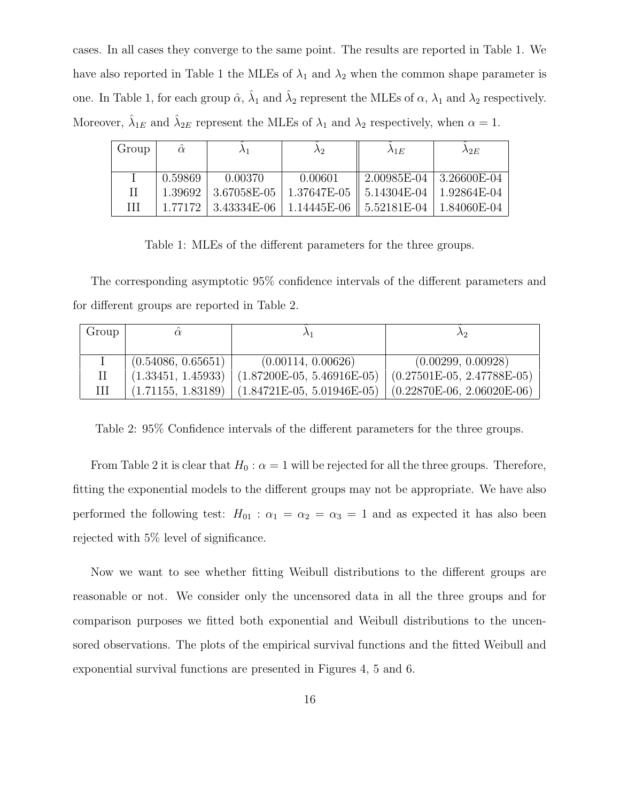cases. In all cases they converge to the same point. The results are reported in Table 1. We have also reported in Table 1 the MLEs of  $\lambda_1$  and  $\lambda_2$  when the common shape parameter is one. In Table 1, for each group  $\hat{\alpha}$ ,  $\hat{\lambda}_1$  and  $\hat{\lambda}_2$  represent the MLEs of  $\alpha$ ,  $\lambda_1$  and  $\lambda_2$  respectively. Moreover,  $\hat{\lambda}_{1E}$  and  $\hat{\lambda}_{2E}$  represent the MLEs of  $\lambda_1$  and  $\lambda_2$  respectively, when  $\alpha = 1$ .

| Group | $\hat{\alpha}$ |         | Л2      | $\lambda_{1E}$                                                   | $\lambda_{2E}$ |
|-------|----------------|---------|---------|------------------------------------------------------------------|----------------|
|       |                |         |         |                                                                  |                |
|       | 0.59869        | 0.00370 | 0.00601 | 2.00985E-04   3.26600E-04                                        |                |
| П     |                |         |         | 1.39692   3.67058E-05   1.37647E-05    5.14304E-04   1.92864E-04 |                |
| Ш     |                |         |         | 1.77172   3.43334E-06   1.14445E-06   5.52181E-04   1.84060E-04  |                |

Table 1: MLEs of the different parameters for the three groups.

The corresponding asymptotic 95% confidence intervals of the different parameters and for different groups are reported in Table 2.

| Group |                    |                                                                                | $\Delta$ 2                   |
|-------|--------------------|--------------------------------------------------------------------------------|------------------------------|
|       |                    |                                                                                |                              |
|       | (0.54086, 0.65651) | (0.00114, 0.00626)                                                             | (0.00299, 0.00928)           |
|       | (1.33451, 1.45933) | $(1.87200E-05, 5.46916E-05)$                                                   | $(0.27501E-05, 2.47788E-05)$ |
| Ш     |                    | $(1.71155, 1.83189)$ $(1.84721E-05, 5.01946E-05)$ $(0.22870E-06, 2.06020E-06)$ |                              |

Table 2: 95% Confidence intervals of the different parameters for the three groups.

From Table 2 it is clear that  $H_0$ :  $\alpha = 1$  will be rejected for all the three groups. Therefore, fitting the exponential models to the different groups may not be appropriate. We have also performed the following test:  $H_{01}$ :  $\alpha_1 = \alpha_2 = \alpha_3 = 1$  and as expected it has also been rejected with 5% level of significance.

Now we want to see whether fitting Weibull distributions to the different groups are reasonable or not. We consider only the uncensored data in all the three groups and for comparison purposes we fitted both exponential and Weibull distributions to the uncensored observations. The plots of the empirical survival functions and the fitted Weibull and exponential survival functions are presented in Figures 4, 5 and 6.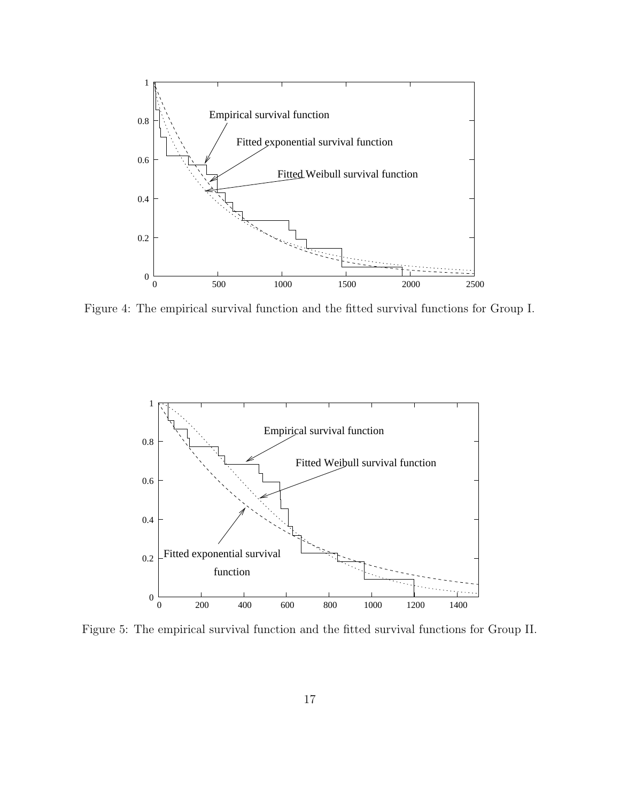

Figure 4: The empirical survival function and the fitted survival functions for Group I.



Figure 5: The empirical survival function and the fitted survival functions for Group II.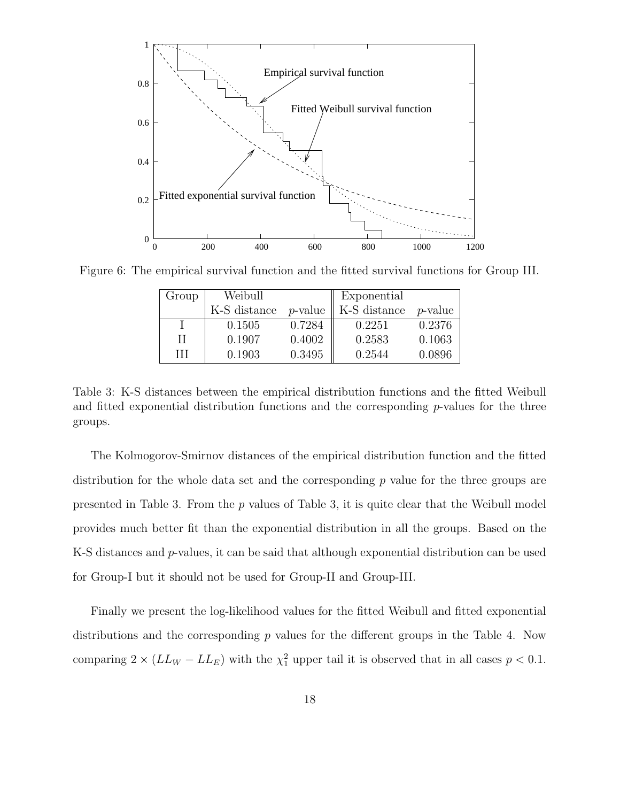

Figure 6: The empirical survival function and the fitted survival functions for Group III.

| Group | Weibull      |            | Exponential  |            |
|-------|--------------|------------|--------------|------------|
|       | K-S distance | $p$ -value | K-S distance | $p$ -value |
|       | 0.1505       | 0.7284     | 0.2251       | 0.2376     |
| Н     | 0.1907       | 0.4002     | 0.2583       | 0.1063     |
| Ш     | 0.1903       | 0.3495     | 0.2544       | 0.0896     |

Table 3: K-S distances between the empirical distribution functions and the fitted Weibull and fitted exponential distribution functions and the corresponding  $p$ -values for the three groups.

The Kolmogorov-Smirnov distances of the empirical distribution function and the fitted distribution for the whole data set and the corresponding  $p$  value for the three groups are presented in Table 3. From the  $p$  values of Table 3, it is quite clear that the Weibull model provides much better fit than the exponential distribution in all the groups. Based on the K-S distances and p-values, it can be said that although exponential distribution can be used for Group-I but it should not be used for Group-II and Group-III.

Finally we present the log-likelihood values for the fitted Weibull and fitted exponential distributions and the corresponding  $p$  values for the different groups in the Table 4. Now comparing  $2 \times (LL_W - LL_E)$  with the  $\chi^2$  upper tail it is observed that in all cases  $p < 0.1$ .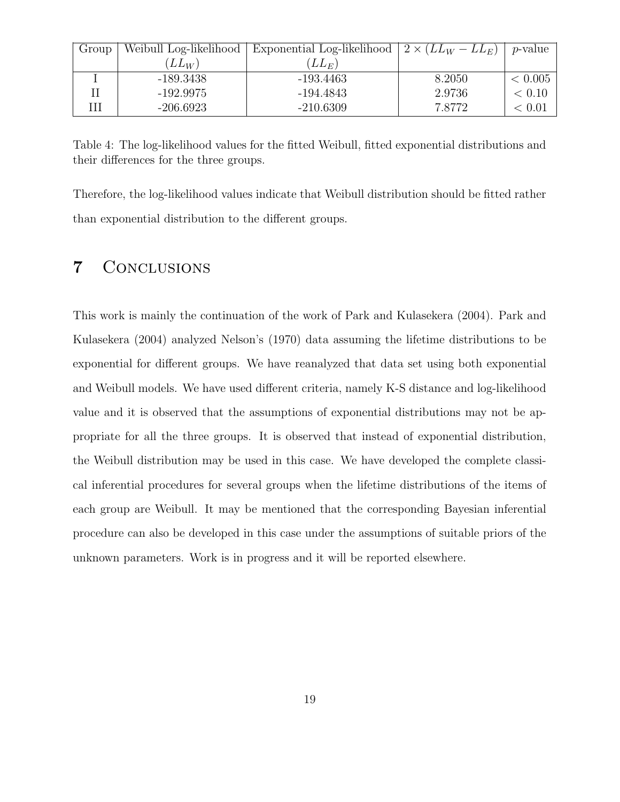| Group |             | Weibull Log-likelihood   Exponential Log-likelihood   $2 \times (LL_W - LL_E)$ |        | <i>p</i> -value |
|-------|-------------|--------------------------------------------------------------------------------|--------|-----------------|
|       | $LL_W$ )    | $LL_E$ )                                                                       |        |                 |
|       | $-189.3438$ | $-193.4463$                                                                    | 8.2050 | < 0.005         |
|       | -192.9975   | -194.4843                                                                      | 2.9736 | < 0.10          |
|       | $-206.6923$ | $-210.6309$                                                                    | 7.8772 | < 0.01          |

Table 4: The log-likelihood values for the fitted Weibull, fitted exponential distributions and their differences for the three groups.

Therefore, the log-likelihood values indicate that Weibull distribution should be fitted rather than exponential distribution to the different groups.

#### 7 Conclusions

This work is mainly the continuation of the work of Park and Kulasekera (2004). Park and Kulasekera (2004) analyzed Nelson's (1970) data assuming the lifetime distributions to be exponential for different groups. We have reanalyzed that data set using both exponential and Weibull models. We have used different criteria, namely K-S distance and log-likelihood value and it is observed that the assumptions of exponential distributions may not be appropriate for all the three groups. It is observed that instead of exponential distribution, the Weibull distribution may be used in this case. We have developed the complete classical inferential procedures for several groups when the lifetime distributions of the items of each group are Weibull. It may be mentioned that the corresponding Bayesian inferential procedure can also be developed in this case under the assumptions of suitable priors of the unknown parameters. Work is in progress and it will be reported elsewhere.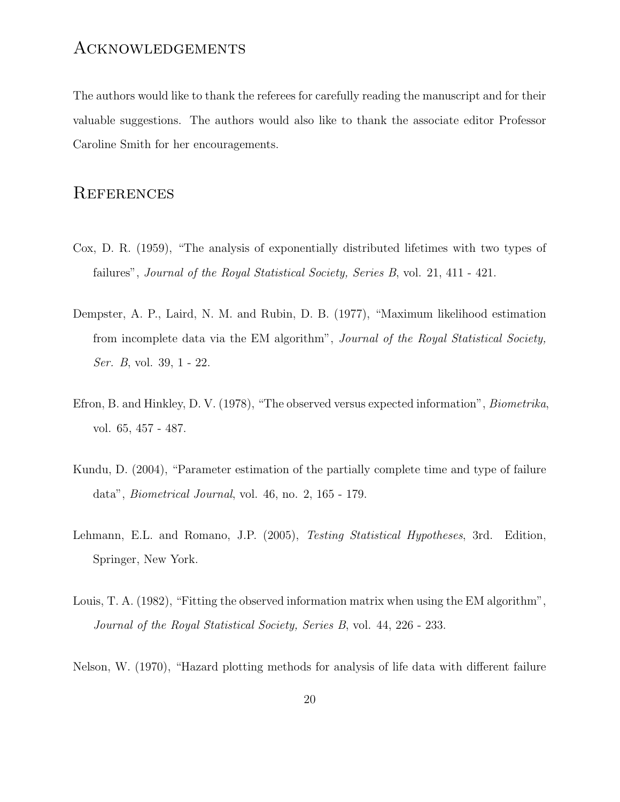#### Acknowledgements

The authors would like to thank the referees for carefully reading the manuscript and for their valuable suggestions. The authors would also like to thank the associate editor Professor Caroline Smith for her encouragements.

#### **REFERENCES**

- Cox, D. R. (1959), "The analysis of exponentially distributed lifetimes with two types of failures", Journal of the Royal Statistical Society, Series B, vol. 21, 411 - 421.
- Dempster, A. P., Laird, N. M. and Rubin, D. B. (1977), "Maximum likelihood estimation from incomplete data via the EM algorithm", Journal of the Royal Statistical Society, Ser. B, vol. 39, 1 - 22.
- Efron, B. and Hinkley, D. V. (1978), "The observed versus expected information", Biometrika, vol. 65, 457 - 487.
- Kundu, D. (2004), "Parameter estimation of the partially complete time and type of failure data", Biometrical Journal, vol. 46, no. 2, 165 - 179.
- Lehmann, E.L. and Romano, J.P. (2005), Testing Statistical Hypotheses, 3rd. Edition, Springer, New York.
- Louis, T. A. (1982), "Fitting the observed information matrix when using the EM algorithm", Journal of the Royal Statistical Society, Series B, vol. 44, 226 - 233.

Nelson, W. (1970), "Hazard plotting methods for analysis of life data with different failure